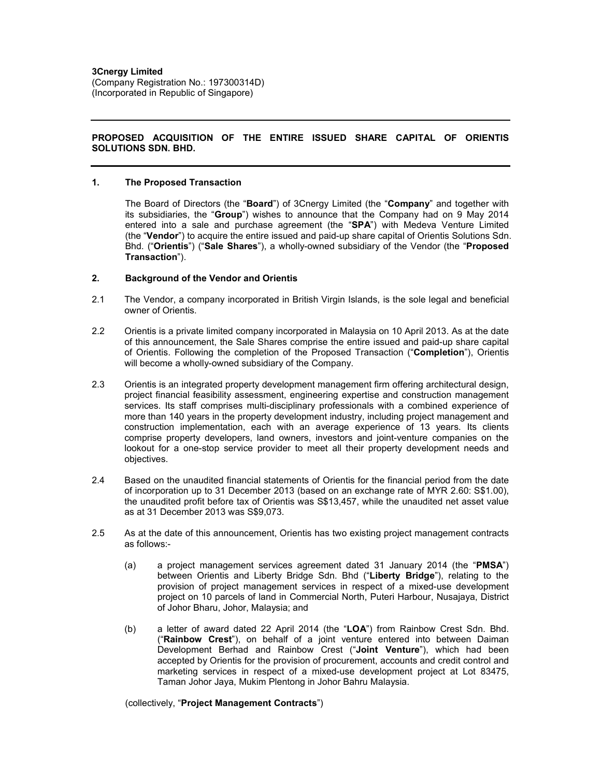(Company Registration No.: 197300314D) (Incorporated in Republic of Singapore)

# **PROPOSED ACQUISITION OF THE ENTIRE ISSUED SHARE CAPITAL OF ORIENTIS SOLUTIONS SDN. BHD.**

#### **1. The Proposed Transaction**

The Board of Directors (the "**Board**") of 3Cnergy Limited (the "**Company**" and together with its subsidiaries, the "**Group**") wishes to announce that the Company had on 9 May 2014 entered into a sale and purchase agreement (the "**SPA**") with Medeva Venture Limited (the "**Vendor**") to acquire the entire issued and paid-up share capital of Orientis Solutions Sdn. Bhd. ("**Orientis**") ("**Sale Shares**"), a wholly-owned subsidiary of the Vendor (the "**Proposed Transaction**").

# **2. Background of the Vendor and Orientis**

- 2.1 The Vendor, a company incorporated in British Virgin Islands, is the sole legal and beneficial owner of Orientis.
- 2.2 Orientis is a private limited company incorporated in Malaysia on 10 April 2013. As at the date of this announcement, the Sale Shares comprise the entire issued and paid-up share capital of Orientis. Following the completion of the Proposed Transaction ("**Completion**"), Orientis will become a wholly-owned subsidiary of the Company.
- 2.3 Orientis is an integrated property development management firm offering architectural design, project financial feasibility assessment, engineering expertise and construction management services. Its staff comprises multi-disciplinary professionals with a combined experience of more than 140 years in the property development industry, including project management and construction implementation, each with an average experience of 13 years. Its clients comprise property developers, land owners, investors and joint-venture companies on the lookout for a one-stop service provider to meet all their property development needs and objectives.
- 2.4 Based on the unaudited financial statements of Orientis for the financial period from the date of incorporation up to 31 December 2013 (based on an exchange rate of MYR 2.60: S\$1.00), the unaudited profit before tax of Orientis was S\$13,457, while the unaudited net asset value as at 31 December 2013 was S\$9,073.
- 2.5 As at the date of this announcement, Orientis has two existing project management contracts as follows:-
	- (a) a project management services agreement dated 31 January 2014 (the "**PMSA**") between Orientis and Liberty Bridge Sdn. Bhd ("**Liberty Bridge**"), relating to the provision of project management services in respect of a mixed-use development project on 10 parcels of land in Commercial North, Puteri Harbour, Nusajaya, District of Johor Bharu, Johor, Malaysia; and
	- (b) a letter of award dated 22 April 2014 (the "**LOA**") from Rainbow Crest Sdn. Bhd. ("**Rainbow Crest**"), on behalf of a joint venture entered into between Daiman Development Berhad and Rainbow Crest ("**Joint Venture**"), which had been accepted by Orientis for the provision of procurement, accounts and credit control and marketing services in respect of a mixed-use development project at Lot 83475, Taman Johor Jaya, Mukim Plentong in Johor Bahru Malaysia.

#### (collectively, "**Project Management Contracts**")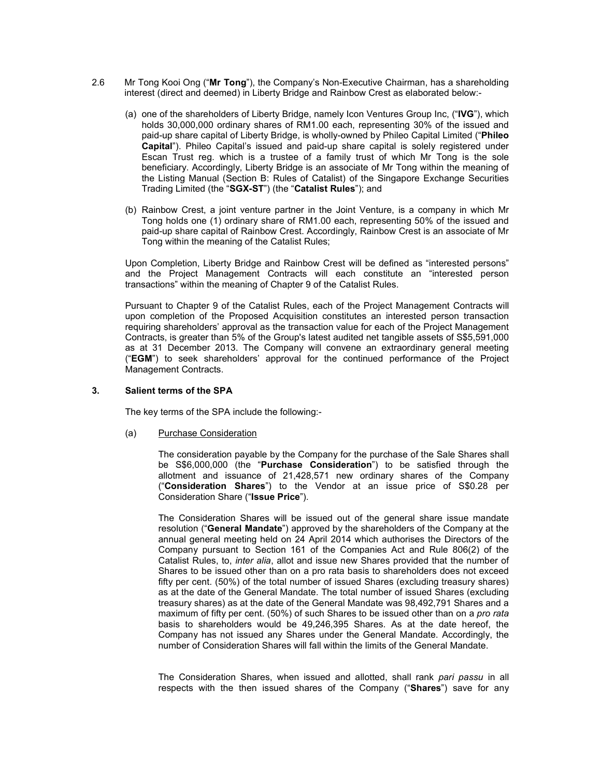- 2.6 Mr Tong Kooi Ong ("**Mr Tong**"), the Company's Non-Executive Chairman, has a shareholding interest (direct and deemed) in Liberty Bridge and Rainbow Crest as elaborated below:-
	- (a) one of the shareholders of Liberty Bridge, namely Icon Ventures Group Inc, ("**IVG**"), which holds 30,000,000 ordinary shares of RM1.00 each, representing 30% of the issued and paid-up share capital of Liberty Bridge, is wholly-owned by Phileo Capital Limited ("**Phileo Capital**"). Phileo Capital's issued and paid-up share capital is solely registered under Escan Trust reg. which is a trustee of a family trust of which Mr Tong is the sole beneficiary. Accordingly, Liberty Bridge is an associate of Mr Tong within the meaning of the Listing Manual (Section B: Rules of Catalist) of the Singapore Exchange Securities Trading Limited (the "**SGX-ST**") (the "**Catalist Rules**"); and
	- (b) Rainbow Crest, a joint venture partner in the Joint Venture, is a company in which Mr Tong holds one (1) ordinary share of RM1.00 each, representing 50% of the issued and paid-up share capital of Rainbow Crest. Accordingly, Rainbow Crest is an associate of Mr Tong within the meaning of the Catalist Rules;

Upon Completion, Liberty Bridge and Rainbow Crest will be defined as "interested persons" and the Project Management Contracts will each constitute an "interested person transactions" within the meaning of Chapter 9 of the Catalist Rules.

Pursuant to Chapter 9 of the Catalist Rules, each of the Project Management Contracts will upon completion of the Proposed Acquisition constitutes an interested person transaction requiring shareholders' approval as the transaction value for each of the Project Management Contracts, is greater than 5% of the Group's latest audited net tangible assets of S\$5,591,000 as at 31 December 2013. The Company will convene an extraordinary general meeting ("**EGM**") to seek shareholders' approval for the continued performance of the Project Management Contracts.

#### **3. Salient terms of the SPA**

The key terms of the SPA include the following:-

(a) Purchase Consideration

The consideration payable by the Company for the purchase of the Sale Shares shall be S\$6,000,000 (the "**Purchase Consideration**") to be satisfied through the allotment and issuance of 21,428,571 new ordinary shares of the Company ("**Consideration Shares**") to the Vendor at an issue price of S\$0.28 per Consideration Share ("**Issue Price**").

The Consideration Shares will be issued out of the general share issue mandate resolution ("**General Mandate**") approved by the shareholders of the Company at the annual general meeting held on 24 April 2014 which authorises the Directors of the Company pursuant to Section 161 of the Companies Act and Rule 806(2) of the Catalist Rules, to, *inter alia*, allot and issue new Shares provided that the number of Shares to be issued other than on a pro rata basis to shareholders does not exceed fifty per cent. (50%) of the total number of issued Shares (excluding treasury shares) as at the date of the General Mandate. The total number of issued Shares (excluding treasury shares) as at the date of the General Mandate was 98,492,791 Shares and a maximum of fifty per cent. (50%) of such Shares to be issued other than on a *pro rata* basis to shareholders would be 49,246,395 Shares. As at the date hereof, the Company has not issued any Shares under the General Mandate. Accordingly, the number of Consideration Shares will fall within the limits of the General Mandate.

The Consideration Shares, when issued and allotted, shall rank *pari passu* in all respects with the then issued shares of the Company ("**Shares**") save for any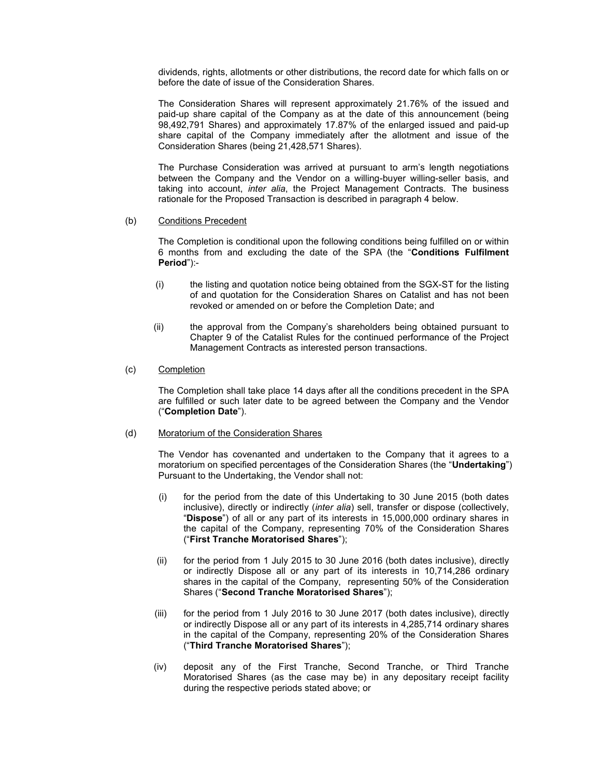dividends, rights, allotments or other distributions, the record date for which falls on or before the date of issue of the Consideration Shares.

The Consideration Shares will represent approximately 21.76% of the issued and paid-up share capital of the Company as at the date of this announcement (being 98,492,791 Shares) and approximately 17.87% of the enlarged issued and paid-up share capital of the Company immediately after the allotment and issue of the Consideration Shares (being 21,428,571 Shares).

The Purchase Consideration was arrived at pursuant to arm's length negotiations between the Company and the Vendor on a willing-buyer willing-seller basis, and taking into account, *inter alia*, the Project Management Contracts. The business rationale for the Proposed Transaction is described in paragraph 4 below.

#### (b) Conditions Precedent

The Completion is conditional upon the following conditions being fulfilled on or within 6 months from and excluding the date of the SPA (the "**Conditions Fulfilment Period**"):-

- (i) the listing and quotation notice being obtained from the SGX-ST for the listing of and quotation for the Consideration Shares on Catalist and has not been revoked or amended on or before the Completion Date; and
- (ii) the approval from the Company's shareholders being obtained pursuant to Chapter 9 of the Catalist Rules for the continued performance of the Project Management Contracts as interested person transactions.

#### (c) Completion

The Completion shall take place 14 days after all the conditions precedent in the SPA are fulfilled or such later date to be agreed between the Company and the Vendor ("**Completion Date**").

#### (d) Moratorium of the Consideration Shares

The Vendor has covenanted and undertaken to the Company that it agrees to a moratorium on specified percentages of the Consideration Shares (the "**Undertaking**") Pursuant to the Undertaking, the Vendor shall not:

- (i) for the period from the date of this Undertaking to 30 June 2015 (both dates inclusive), directly or indirectly (*inter alia*) sell, transfer or dispose (collectively, "**Dispose**") of all or any part of its interests in 15,000,000 ordinary shares in the capital of the Company, representing 70% of the Consideration Shares ("**First Tranche Moratorised Shares**");
- (ii) for the period from 1 July 2015 to 30 June 2016 (both dates inclusive), directly or indirectly Dispose all or any part of its interests in 10,714,286 ordinary shares in the capital of the Company, representing 50% of the Consideration Shares ("**Second Tranche Moratorised Shares**");
- (iii) for the period from 1 July 2016 to 30 June 2017 (both dates inclusive), directly or indirectly Dispose all or any part of its interests in 4,285,714 ordinary shares in the capital of the Company, representing 20% of the Consideration Shares ("**Third Tranche Moratorised Shares**");
- (iv) deposit any of the First Tranche, Second Tranche, or Third Tranche Moratorised Shares (as the case may be) in any depositary receipt facility during the respective periods stated above; or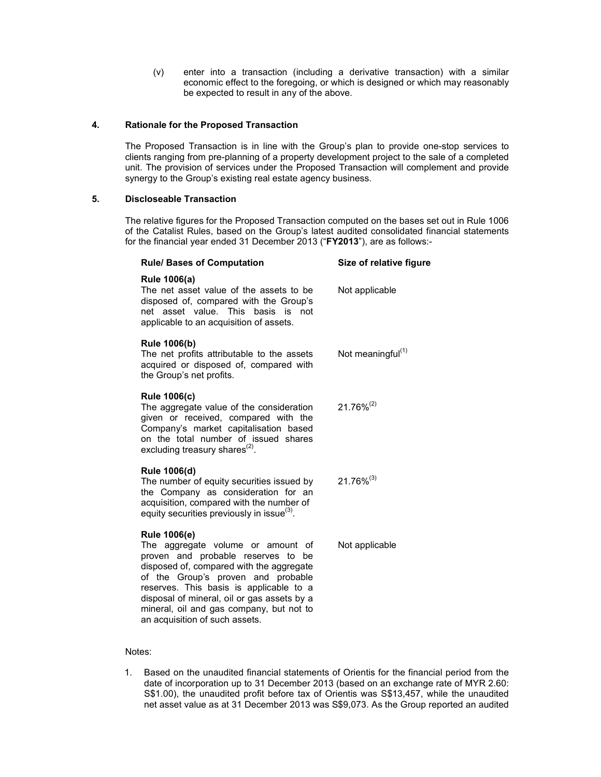(v) enter into a transaction (including a derivative transaction) with a similar economic effect to the foregoing, or which is designed or which may reasonably be expected to result in any of the above.

#### **4. Rationale for the Proposed Transaction**

 The Proposed Transaction is in line with the Group's plan to provide one-stop services to clients ranging from pre-planning of a property development project to the sale of a completed unit. The provision of services under the Proposed Transaction will complement and provide synergy to the Group's existing real estate agency business.

#### **5. Discloseable Transaction**

The relative figures for the Proposed Transaction computed on the bases set out in Rule 1006 of the Catalist Rules, based on the Group's latest audited consolidated financial statements for the financial year ended 31 December 2013 ("**FY2013**"), are as follows:-

| <b>Rule/ Bases of Computation</b>                                                                                                                                                                                                                                                                                                                        | Size of relative figure       |
|----------------------------------------------------------------------------------------------------------------------------------------------------------------------------------------------------------------------------------------------------------------------------------------------------------------------------------------------------------|-------------------------------|
| <b>Rule 1006(a)</b><br>The net asset value of the assets to be<br>disposed of, compared with the Group's<br>net asset value. This basis is not<br>applicable to an acquisition of assets.                                                                                                                                                                | Not applicable                |
| <b>Rule 1006(b)</b><br>The net profits attributable to the assets<br>acquired or disposed of, compared with<br>the Group's net profits.                                                                                                                                                                                                                  | Not meaningful <sup>(1)</sup> |
| <b>Rule 1006(c)</b><br>The aggregate value of the consideration<br>given or received, compared with the<br>Company's market capitalisation based<br>on the total number of issued shares<br>excluding treasury shares <sup>(2)</sup> .                                                                                                                   | $21.76\%^{(2)}$               |
| Rule 1006(d)<br>The number of equity securities issued by<br>the Company as consideration for an<br>acquisition, compared with the number of<br>equity securities previously in issue <sup>(3)</sup> .                                                                                                                                                   | $21.76\%^{(3)}$               |
| <b>Rule 1006(e)</b><br>The aggregate volume or amount of<br>proven and probable reserves to be<br>disposed of, compared with the aggregate<br>of the Group's proven and probable<br>reserves. This basis is applicable to a<br>disposal of mineral, oil or gas assets by a<br>mineral, oil and gas company, but not to<br>an acquisition of such assets. | Not applicable                |

#### Notes:

1. Based on the unaudited financial statements of Orientis for the financial period from the date of incorporation up to 31 December 2013 (based on an exchange rate of MYR 2.60: S\$1.00), the unaudited profit before tax of Orientis was S\$13,457, while the unaudited net asset value as at 31 December 2013 was S\$9,073. As the Group reported an audited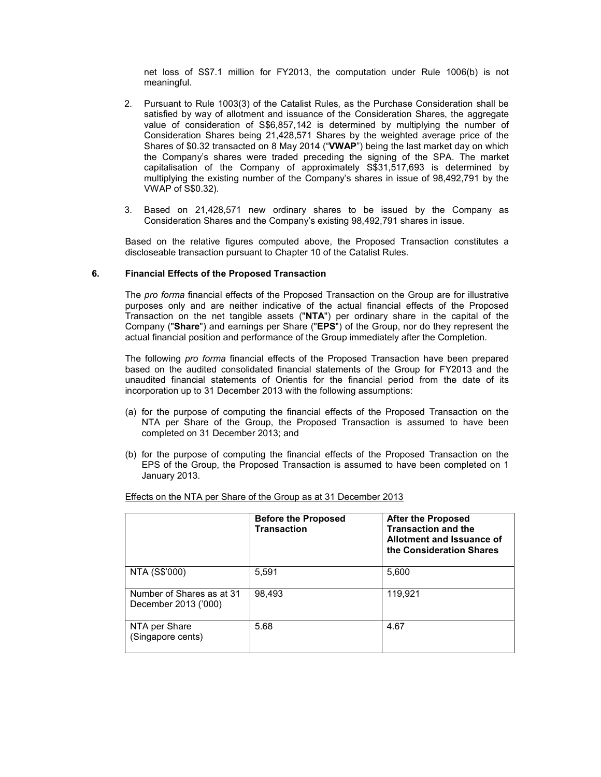net loss of S\$7.1 million for FY2013, the computation under Rule 1006(b) is not meaningful.

- 2. Pursuant to Rule 1003(3) of the Catalist Rules, as the Purchase Consideration shall be satisfied by way of allotment and issuance of the Consideration Shares, the aggregate value of consideration of S\$6,857,142 is determined by multiplying the number of Consideration Shares being 21,428,571 Shares by the weighted average price of the Shares of \$0.32 transacted on 8 May 2014 ("**VWAP**") being the last market day on which the Company's shares were traded preceding the signing of the SPA. The market capitalisation of the Company of approximately S\$31,517,693 is determined by multiplying the existing number of the Company's shares in issue of 98,492,791 by the VWAP of S\$0.32).
- 3. Based on 21,428,571 new ordinary shares to be issued by the Company as Consideration Shares and the Company's existing 98,492,791 shares in issue.

Based on the relative figures computed above, the Proposed Transaction constitutes a discloseable transaction pursuant to Chapter 10 of the Catalist Rules.

#### **6. Financial Effects of the Proposed Transaction**

The *pro forma* financial effects of the Proposed Transaction on the Group are for illustrative purposes only and are neither indicative of the actual financial effects of the Proposed Transaction on the net tangible assets ("**NTA**") per ordinary share in the capital of the Company ("**Share**") and earnings per Share ("**EPS**") of the Group, nor do they represent the actual financial position and performance of the Group immediately after the Completion.

The following *pro forma* financial effects of the Proposed Transaction have been prepared based on the audited consolidated financial statements of the Group for FY2013 and the unaudited financial statements of Orientis for the financial period from the date of its incorporation up to 31 December 2013 with the following assumptions:

- (a) for the purpose of computing the financial effects of the Proposed Transaction on the NTA per Share of the Group, the Proposed Transaction is assumed to have been completed on 31 December 2013; and
- (b) for the purpose of computing the financial effects of the Proposed Transaction on the EPS of the Group, the Proposed Transaction is assumed to have been completed on 1 January 2013.

|                                                   | <b>Before the Proposed</b><br><b>Transaction</b> | <b>After the Proposed</b><br><b>Transaction and the</b><br>Allotment and Issuance of<br>the Consideration Shares |
|---------------------------------------------------|--------------------------------------------------|------------------------------------------------------------------------------------------------------------------|
| NTA (S\$'000)                                     | 5,591                                            | 5,600                                                                                                            |
| Number of Shares as at 31<br>December 2013 ('000) | 98.493                                           | 119,921                                                                                                          |
| NTA per Share<br>(Singapore cents)                | 5.68                                             | 4.67                                                                                                             |

Effects on the NTA per Share of the Group as at 31 December 2013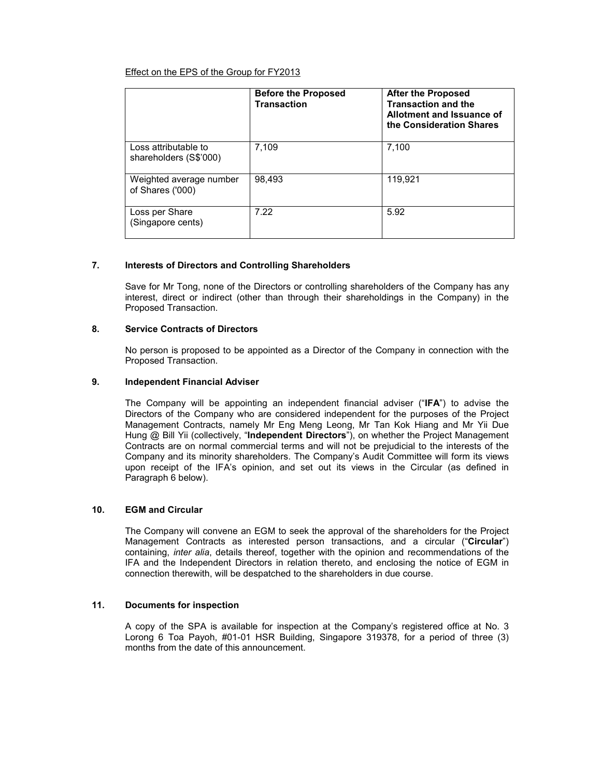# Effect on the EPS of the Group for FY2013

|                                                | <b>Before the Proposed</b><br>Transaction | <b>After the Proposed</b><br><b>Transaction and the</b><br>Allotment and Issuance of<br>the Consideration Shares |
|------------------------------------------------|-------------------------------------------|------------------------------------------------------------------------------------------------------------------|
| Loss attributable to<br>shareholders (S\$'000) | 7,109                                     | 7,100                                                                                                            |
| Weighted average number<br>of Shares ('000)    | 98.493                                    | 119.921                                                                                                          |
| Loss per Share<br>(Singapore cents)            | 7.22                                      | 5.92                                                                                                             |

# **7. Interests of Directors and Controlling Shareholders**

Save for Mr Tong, none of the Directors or controlling shareholders of the Company has any interest, direct or indirect (other than through their shareholdings in the Company) in the Proposed Transaction.

# **8. Service Contracts of Directors**

No person is proposed to be appointed as a Director of the Company in connection with the Proposed Transaction.

#### **9. Independent Financial Adviser**

The Company will be appointing an independent financial adviser ("**IFA**") to advise the Directors of the Company who are considered independent for the purposes of the Project Management Contracts, namely Mr Eng Meng Leong, Mr Tan Kok Hiang and Mr Yii Due Hung @ Bill Yii (collectively, "**Independent Directors**"), on whether the Project Management Contracts are on normal commercial terms and will not be prejudicial to the interests of the Company and its minority shareholders. The Company's Audit Committee will form its views upon receipt of the IFA's opinion, and set out its views in the Circular (as defined in Paragraph 6 below).

#### **10. EGM and Circular**

The Company will convene an EGM to seek the approval of the shareholders for the Project Management Contracts as interested person transactions, and a circular ("**Circular**") containing, *inter alia*, details thereof, together with the opinion and recommendations of the IFA and the Independent Directors in relation thereto, and enclosing the notice of EGM in connection therewith, will be despatched to the shareholders in due course.

#### **11. Documents for inspection**

A copy of the SPA is available for inspection at the Company's registered office at No. 3 Lorong 6 Toa Payoh, #01-01 HSR Building, Singapore 319378, for a period of three (3) months from the date of this announcement.